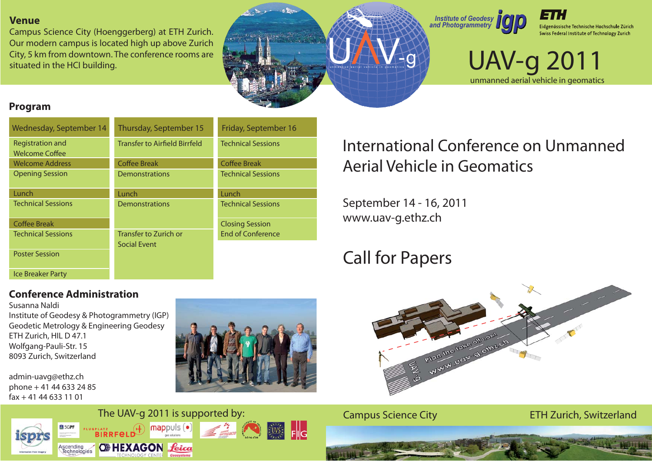#### **Venue**

Campus Science City (Hoenggerberg) at ETH Zurich. Our modern campus is located high up above Zurich City, 5 km from downtown. The conference rooms are situated in the HCI building.







## UAV-g 2011 unmanned aerial vehicle in geomatics

#### **Program**

| Wednesday, September 14                   | Thursday, September 15               | Friday, September 16      |
|-------------------------------------------|--------------------------------------|---------------------------|
| Registration and<br><b>Welcome Coffee</b> | <b>Transfer to Airfield Birrfeld</b> | <b>Technical Sessions</b> |
| <b>Welcome Address</b>                    | <b>Coffee Break</b>                  | <b>Coffee Break</b>       |
| <b>Opening Session</b>                    | <b>Demonstrations</b>                | <b>Technical Sessions</b> |
| Lunch                                     | Lunch                                | Lunch                     |
| <b>Technical Sessions</b>                 | <b>Demonstrations</b>                | <b>Technical Sessions</b> |
| <b>Coffee Break</b>                       |                                      | <b>Closing Session</b>    |
| <b>Technical Sessions</b>                 | Transfer to Zurich or                | <b>End of Conference</b>  |
| <b>Poster Session</b>                     | Social Event                         |                           |
| <b>Ice Breaker Party</b>                  |                                      |                           |

# International Conference on UnmannedAerial Vehicle in Geomatics

September 14 - 16, 2011 www.uav-g.ethz.ch

# Call for Papers



Susanna NaldiInstitute of Geodesy & Photogrammetry (IGP) Geodetic Metrology & Engineering Geodesy ETH Zurich, HIL D 47.1 Wolfgang-Pauli-Str. 15 8093 Zurich, Switzerland

admin-uavg@ethz.ch phone + 41 44 633 24 85 fax + 41 44 633 11 01







Campus Science City ETH Zurich, Switzerland